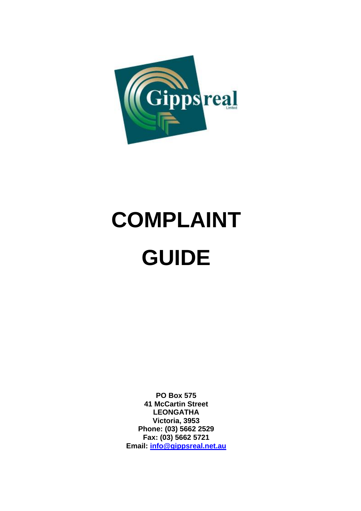

# **COMPLAINT GUIDE**

**PO Box 575 41 McCartin Street LEONGATHA Victoria, 3953 Phone: (03) 5662 2529 Fax: (03) 5662 5721 Email: [info@gippsreal.net.au](mailto:info@gippsreal.net.au)**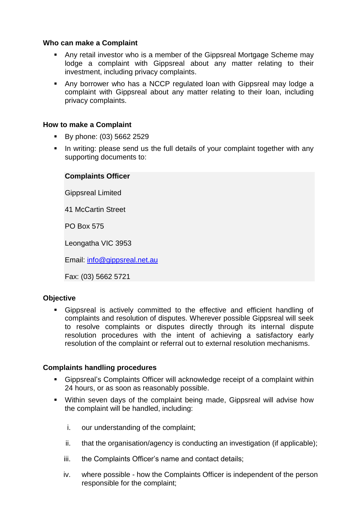#### **Who can make a Complaint**

- Any retail investor who is a member of the Gippsreal Mortgage Scheme may lodge a complaint with Gippsreal about any matter relating to their investment, including privacy complaints.
- Any borrower who has a NCCP regulated loan with Gippsreal may lodge a complaint with Gippsreal about any matter relating to their loan, including privacy complaints.

#### **How to make a Complaint**

- By phone: (03) 5662 2529
- In writing: please send us the full details of your complaint together with any supporting documents to:

## **Complaints Officer**

Gippsreal Limited

41 McCartin Street

PO Box 575

Leongatha VIC 3953

Email: [info@gippsreal.net.au](mailto:info@gippsreal.net.au)

Fax: (03) 5662 5721

#### **Objective**

 Gippsreal is actively committed to the effective and efficient handling of complaints and resolution of disputes. Wherever possible Gippsreal will seek to resolve complaints or disputes directly through its internal dispute resolution procedures with the intent of achieving a satisfactory early resolution of the complaint or referral out to external resolution mechanisms.

#### **Complaints handling procedures**

- Gippsreal's Complaints Officer will acknowledge receipt of a complaint within 24 hours, or as soon as reasonably possible.
- Within seven days of the complaint being made, Gippsreal will advise how the complaint will be handled, including:
	- i. our understanding of the complaint;
	- ii. that the organisation/agency is conducting an investigation (if applicable);
	- iii. the Complaints Officer's name and contact details;
	- iv. where possible how the Complaints Officer is independent of the person responsible for the complaint;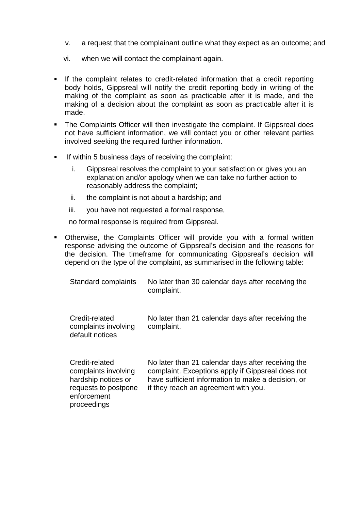- v. a request that the complainant outline what they expect as an outcome; and
- vi. when we will contact the complainant again.
- If the complaint relates to credit-related information that a credit reporting body holds, Gippsreal will notify the credit reporting body in writing of the making of the complaint as soon as practicable after it is made, and the making of a decision about the complaint as soon as practicable after it is made.
- **The Complaints Officer will then investigate the complaint. If Gippsreal does** not have sufficient information, we will contact you or other relevant parties involved seeking the required further information.
- If within 5 business days of receiving the complaint:
	- i. Gippsreal resolves the complaint to your satisfaction or gives you an explanation and/or apology when we can take no further action to reasonably address the complaint;
	- ii. the complaint is not about a hardship; and
	- iii. you have not requested a formal response,

no formal response is required from Gippsreal.

 Otherwise, the Complaints Officer will provide you with a formal written response advising the outcome of Gippsreal's decision and the reasons for the decision. The timeframe for communicating Gippsreal's decision will depend on the type of the complaint, as summarised in the following table:

| Standard complaints                                                                                                 | No later than 30 calendar days after receiving the<br>complaint.                                                                                                                                      |
|---------------------------------------------------------------------------------------------------------------------|-------------------------------------------------------------------------------------------------------------------------------------------------------------------------------------------------------|
| Credit-related<br>complaints involving<br>default notices                                                           | No later than 21 calendar days after receiving the<br>complaint.                                                                                                                                      |
| Credit-related<br>complaints involving<br>hardship notices or<br>requests to postpone<br>enforcement<br>proceedings | No later than 21 calendar days after receiving the<br>complaint. Exceptions apply if Gippsreal does not<br>have sufficient information to make a decision, or<br>if they reach an agreement with you. |